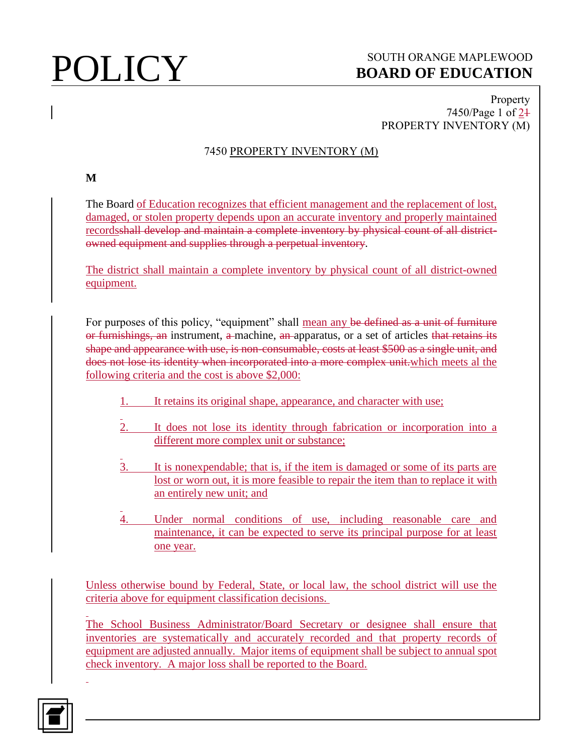# **POLICY** SOUTH ORANGE MAPLEWOOD **BOARD OF EDUCATION**

### Property 7450/Page 1 of 21 PROPERTY INVENTORY (M)

## 7450 PROPERTY INVENTORY (M)

**M**

The Board of Education recognizes that efficient management and the replacement of lost, damaged, or stolen property depends upon an accurate inventory and properly maintained recordsshall develop and maintain a complete inventory by physical count of all districtowned equipment and supplies through a perpetual inventory.

The district shall maintain a complete inventory by physical count of all district-owned equipment.

For purposes of this policy, "equipment" shall mean any be defined as a unit of furniture or furnishings, an instrument, a machine, an apparatus, or a set of articles that retains its shape and appearance with use, is non-consumable, costs at least \$500 as a single unit, and does not lose its identity when incorporated into a more complex unit.which meets al the following criteria and the cost is above \$2,000:

- 1. It retains its original shape, appearance, and character with use;
- It does not lose its identity through fabrication or incorporation into a different more complex unit or substance;
- 3. It is nonexpendable; that is, if the item is damaged or some of its parts are lost or worn out, it is more feasible to repair the item than to replace it with an entirely new unit; and
- Under normal conditions of use, including reasonable care and maintenance, it can be expected to serve its principal purpose for at least one year.

Unless otherwise bound by Federal, State, or local law, the school district will use the criteria above for equipment classification decisions.

The School Business Administrator/Board Secretary or designee shall ensure that inventories are systematically and accurately recorded and that property records of equipment are adjusted annually. Major items of equipment shall be subject to annual spot check inventory. A major loss shall be reported to the Board.